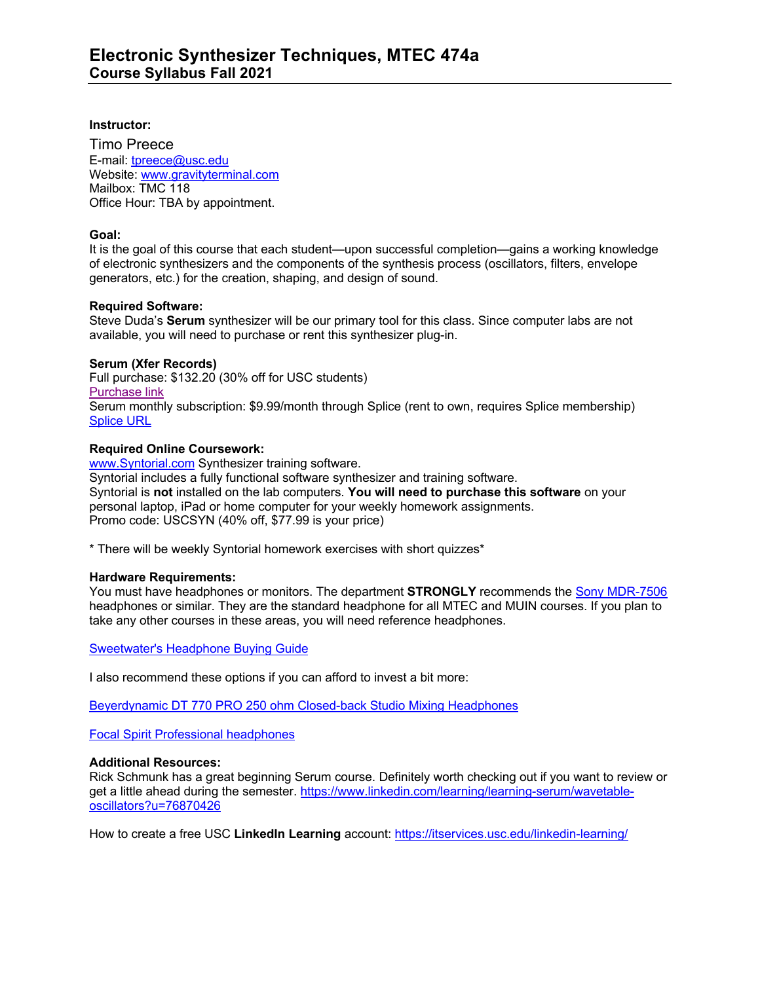### **Instructor:**

Timo Preece E-mail: tpreece@usc.edu Website: www.gravityterminal.com Mailbox: TMC 118 Office Hour: TBA by appointment.

## **Goal:**

It is the goal of this course that each student—upon successful completion—gains a working knowledge of electronic synthesizers and the components of the synthesis process (oscillators, filters, envelope generators, etc.) for the creation, shaping, and design of sound.

## **Required Software:**

Steve Duda's **Serum** synthesizer will be our primary tool for this class. Since computer labs are not available, you will need to purchase or rent this synthesizer plug-in.

## **Serum (Xfer Records)**

Full purchase: \$132.20 (30% off for USC students) Purchase link Serum monthly subscription: \$9.99/month through Splice (rent to own, requires Splice membership) Splice URL

## **Required Online Coursework:**

www.Syntorial.com Synthesizer training software. Syntorial includes a fully functional software synthesizer and training software. Syntorial is **not** installed on the lab computers. **You will need to purchase this software** on your personal laptop, iPad or home computer for your weekly homework assignments. Promo code: USCSYN (40% off, \$77.99 is your price)

\* There will be weekly Syntorial homework exercises with short quizzes\*

#### **Hardware Requirements:**

You must have headphones or monitors. The department **STRONGLY** recommends the Sony MDR-7506 headphones or similar. They are the standard headphone for all MTEC and MUIN courses. If you plan to take any other courses in these areas, you will need reference headphones.

Sweetwater's Headphone Buying Guide

I also recommend these options if you can afford to invest a bit more:

Beyerdynamic DT 770 PRO 250 ohm Closed-back Studio Mixing Headphones

Focal Spirit Professional headphones

#### **Additional Resources:**

Rick Schmunk has a great beginning Serum course. Definitely worth checking out if you want to review or get a little ahead during the semester. https://www.linkedin.com/learning/learning-serum/wavetableoscillators?u=76870426

How to create a free USC **LinkedIn Learning** account: https://itservices.usc.edu/linkedin-learning/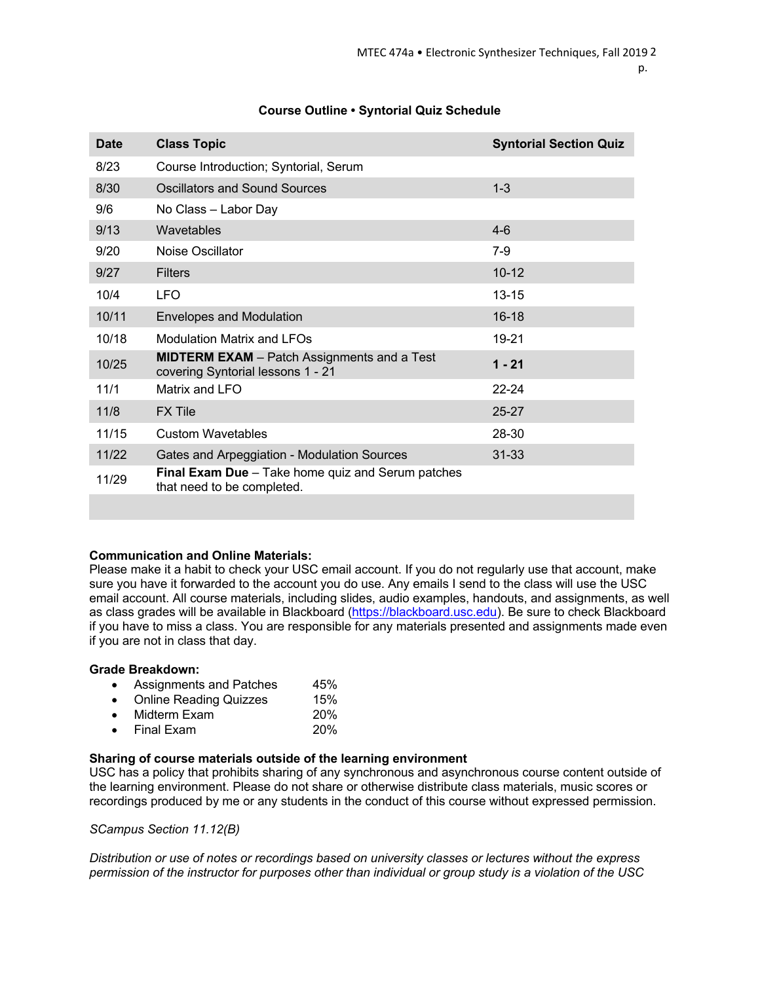| <b>Date</b> | <b>Class Topic</b>                                                                      | <b>Syntorial Section Quiz</b> |
|-------------|-----------------------------------------------------------------------------------------|-------------------------------|
| 8/23        | Course Introduction; Syntorial, Serum                                                   |                               |
| 8/30        | Oscillators and Sound Sources                                                           | $1 - 3$                       |
| 9/6         | No Class - Labor Day                                                                    |                               |
| 9/13        | Wavetables                                                                              | $4-6$                         |
| 9/20        | Noise Oscillator                                                                        | $7-9$                         |
| 9/27        | <b>Filters</b>                                                                          | $10 - 12$                     |
| 10/4        | LFO                                                                                     | $13 - 15$                     |
| 10/11       | <b>Envelopes and Modulation</b>                                                         | $16 - 18$                     |
| 10/18       | Modulation Matrix and LFOs                                                              | 19-21                         |
| 10/25       | <b>MIDTERM EXAM</b> – Patch Assignments and a Test<br>covering Syntorial lessons 1 - 21 | $1 - 21$                      |
| 11/1        | Matrix and LFO                                                                          | 22-24                         |
| 11/8        | <b>FX Tile</b>                                                                          | 25-27                         |
| 11/15       | <b>Custom Wavetables</b>                                                                | 28-30                         |
| 11/22       | Gates and Arpeggiation - Modulation Sources                                             | $31 - 33$                     |
| 11/29       | <b>Final Exam Due</b> – Take home quiz and Serum patches<br>that need to be completed.  |                               |
|             |                                                                                         |                               |

# **Course Outline • Syntorial Quiz Schedule**

# **Communication and Online Materials:**

Please make it a habit to check your USC email account. If you do not regularly use that account, make sure you have it forwarded to the account you do use. Any emails I send to the class will use the USC email account. All course materials, including slides, audio examples, handouts, and assignments, as well as class grades will be available in Blackboard (https://blackboard.usc.edu). Be sure to check Blackboard if you have to miss a class. You are responsible for any materials presented and assignments made even if you are not in class that day.

## **Grade Breakdown:**

- Assignments and Patches 45%
- Online Reading Quizzes 15%
- Midterm Exam 20%
- Final Exam 20%

## **Sharing of course materials outside of the learning environment**

USC has a policy that prohibits sharing of any synchronous and asynchronous course content outside of the learning environment. Please do not share or otherwise distribute class materials, music scores or recordings produced by me or any students in the conduct of this course without expressed permission.

*SCampus Section 11.12(B)*

*Distribution or use of notes or recordings based on university classes or lectures without the express permission of the instructor for purposes other than individual or group study is a violation of the USC*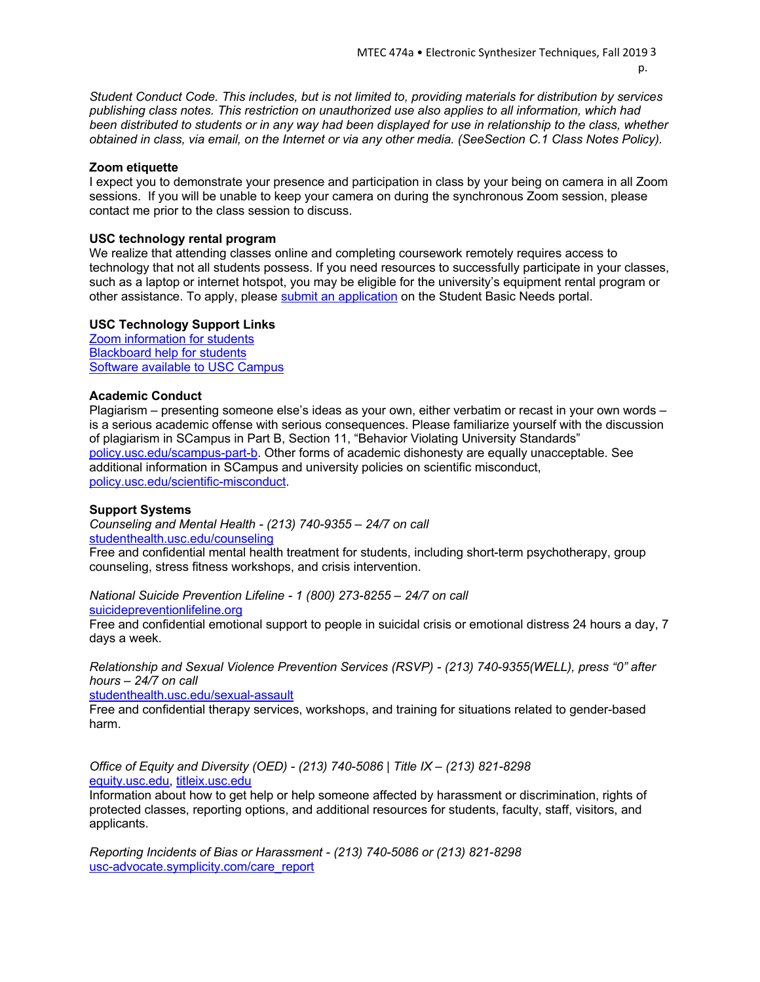*Student Conduct Code. This includes, but is not limited to, providing materials for distribution by services publishing class notes. This restriction on unauthorized use also applies to all information, which had been distributed to students or in any way had been displayed for use in relationship to the class, whether obtained in class, via email, on the Internet or via any other media. (SeeSection C.1 Class Notes Policy).*

#### **Zoom etiquette**

I expect you to demonstrate your presence and participation in class by your being on camera in all Zoom sessions. If you will be unable to keep your camera on during the synchronous Zoom session, please contact me prior to the class session to discuss.

#### **USC technology rental program**

We realize that attending classes online and completing coursework remotely requires access to technology that not all students possess. If you need resources to successfully participate in your classes, such as a laptop or internet hotspot, you may be eligible for the university's equipment rental program or other assistance. To apply, please submit an application on the Student Basic Needs portal.

#### **USC Technology Support Links**

Zoom information for students Blackboard help for students Software available to USC Campus

#### **Academic Conduct**

Plagiarism – presenting someone else's ideas as your own, either verbatim or recast in your own words – is a serious academic offense with serious consequences. Please familiarize yourself with the discussion of plagiarism in SCampus in Part B, Section 11, "Behavior Violating University Standards" policy.usc.edu/scampus-part-b. Other forms of academic dishonesty are equally unacceptable. See additional information in SCampus and university policies on scientific misconduct, policy.usc.edu/scientific-misconduct.

#### **Support Systems**

*Counseling and Mental Health - (213) 740-9355 – 24/7 on call* studenthealth.usc.edu/counseling

Free and confidential mental health treatment for students, including short-term psychotherapy, group counseling, stress fitness workshops, and crisis intervention.

*National Suicide Prevention Lifeline - 1 (800) 273-8255 – 24/7 on call* suicidepreventionlifeline.org

Free and confidential emotional support to people in suicidal crisis or emotional distress 24 hours a day, 7 days a week.

*Relationship and Sexual Violence Prevention Services (RSVP) - (213) 740-9355(WELL), press "0" after hours – 24/7 on call*

studenthealth.usc.edu/sexual-assault

Free and confidential therapy services, workshops, and training for situations related to gender-based harm.

*Office of Equity and Diversity (OED) - (213) 740-5086 | Title IX – (213) 821-8298* equity.usc.edu, titleix.usc.edu

Information about how to get help or help someone affected by harassment or discrimination, rights of protected classes, reporting options, and additional resources for students, faculty, staff, visitors, and applicants.

*Reporting Incidents of Bias or Harassment - (213) 740-5086 or (213) 821-8298* usc-advocate.symplicity.com/care\_report